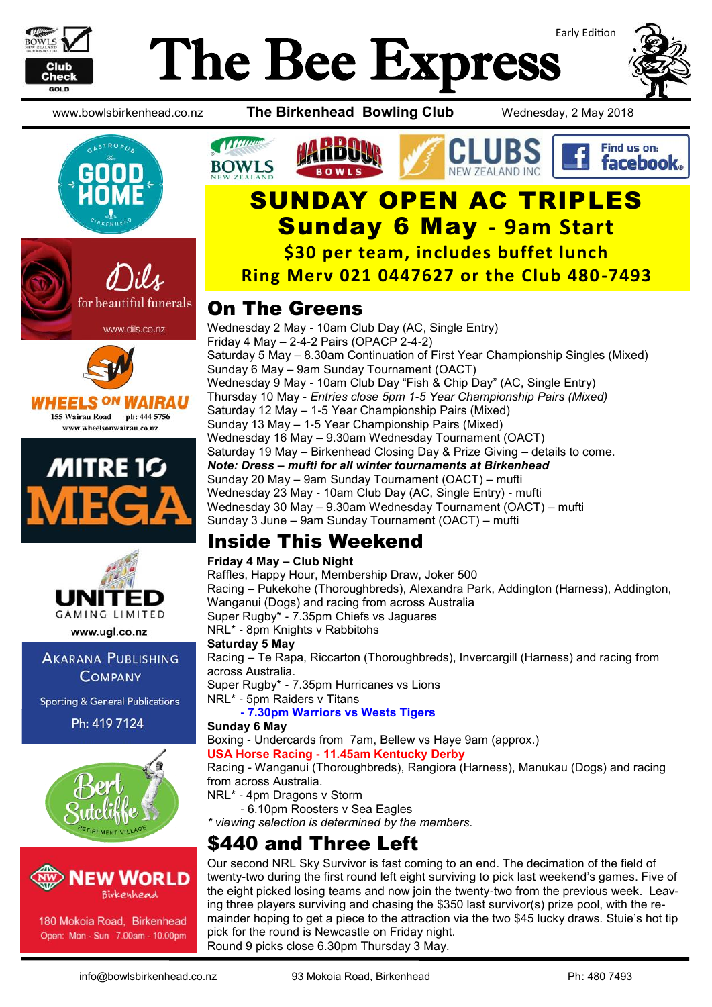

# Early Edition The Bee Express













www.ugl.co.nz

**AKARANA PUBLISHING COMPANY** 

**Sporting & General Publications** 

Ph: 419 7124





180 Mokoia Road, Birkenhead Open: Mon - Sun 7.00am - 10.00pm

www.bowlsbirkenhead.co.nz **The Birkenhead Bowling Club** Wednesday, 2 May 2018



### Find us on: facebook.

# SUNDAY OPEN AC TRIPLES Sunday 6 May **- 9am Start**

**\$30 per team, includes buffet lunch**

**Ring Merv 021 0447627 or the Club 480-7493**

### On The Greens

Wednesday 2 May - 10am Club Day (AC, Single Entry) Friday 4 May  $-$  2-4-2 Pairs (OPACP 2-4-2) Saturday 5 May – 8.30am Continuation of First Year Championship Singles (Mixed) Sunday 6 May – 9am Sunday Tournament (OACT) Wednesday 9 May - 10am Club Day "Fish & Chip Day" (AC, Single Entry) Thursday 10 May - *Entries close 5pm 1-5 Year Championship Pairs (Mixed)* Saturday 12 May – 1-5 Year Championship Pairs (Mixed) Sunday 13 May – 1-5 Year Championship Pairs (Mixed) Wednesday 16 May – 9.30am Wednesday Tournament (OACT) Saturday 19 May – Birkenhead Closing Day & Prize Giving – details to come. *Note: Dress – mufti for all winter tournaments at Birkenhead* Sunday 20 May – 9am Sunday Tournament (OACT) – mufti Wednesday 23 May - 10am Club Day (AC, Single Entry) - mufti Wednesday 30 May – 9.30am Wednesday Tournament (OACT) – mufti Sunday 3 June – 9am Sunday Tournament (OACT) – mufti

### Inside This Weekend

#### **Friday 4 May – Club Night**

Raffles, Happy Hour, Membership Draw, Joker 500 Racing – Pukekohe (Thoroughbreds), Alexandra Park, Addington (Harness), Addington, Wanganui (Dogs) and racing from across Australia Super Rugby\* - 7.35pm Chiefs vs Jaguares NRL\* - 8pm Knights v Rabbitohs **Saturday 5 May** Racing – Te Rapa, Riccarton (Thoroughbreds), Invercargill (Harness) and racing from across Australia.

Super Rugby\* - 7.35pm Hurricanes vs Lions

NRL\* - 5pm Raiders v Titans

**- 7.30pm Warriors vs Wests Tigers**

**Sunday 6 May**

Boxing - Undercards from 7am, Bellew vs Haye 9am (approx.) **USA Horse Racing - 11.45am Kentucky Derby**

Racing - Wanganui (Thoroughbreds), Rangiora (Harness), Manukau (Dogs) and racing from across Australia.

NRL\* - 4pm Dragons v Storm

- 6.10pm Roosters v Sea Eagles

*\* viewing selection is determined by the members.*

### \$440 and Three Left

Our second NRL Sky Survivor is fast coming to an end. The decimation of the field of twenty-two during the first round left eight surviving to pick last weekend's games. Five of the eight picked losing teams and now join the twenty-two from the previous week. Leaving three players surviving and chasing the \$350 last survivor(s) prize pool, with the remainder hoping to get a piece to the attraction via the two \$45 lucky draws. Stuie's hot tip pick for the round is Newcastle on Friday night. Round 9 picks close 6.30pm Thursday 3 May.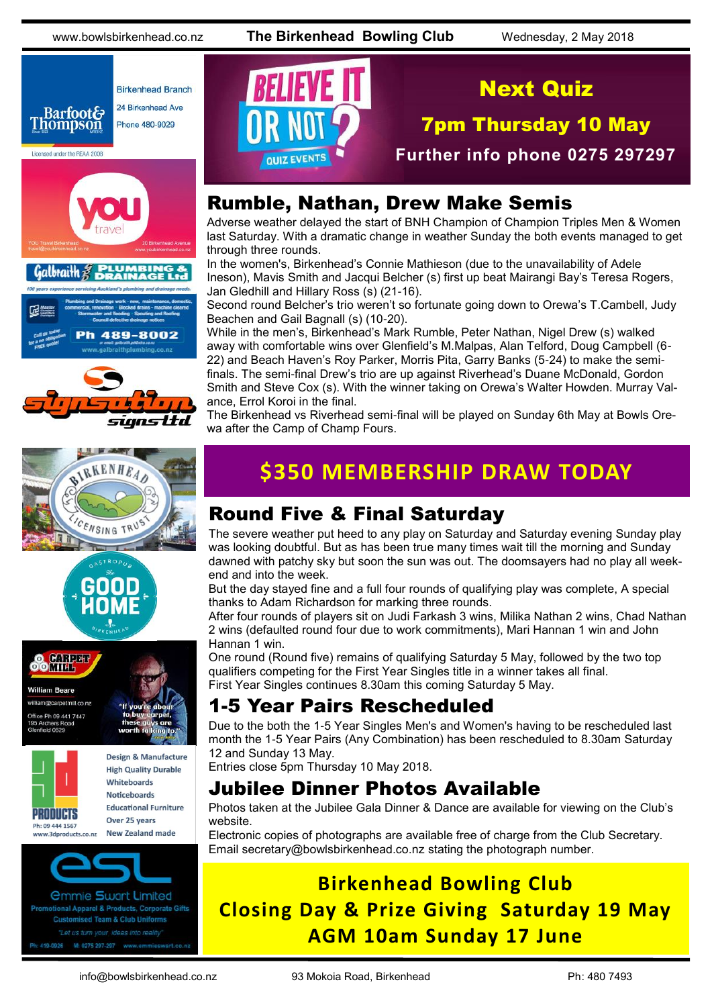www.bowlsbirkenhead.co.nz **The Birkenhead Bowling Club** Wednesday, 2 May 2018















Design & Manufacture **High Quality Durable** Whiteboards **Noticeboards Educational Furniture** Over 25 years New Zealand made



*<u>Ommie Swart Limited</u>* otional Apparel & Products, Corporate Gifts **Customised Team & Club Uniforms** 



### Next Quiz

7pm Thursday 10 May

**Further info phone 0275 297297**

### Rumble, Nathan, Drew Make Semis

Adverse weather delayed the start of BNH Champion of Champion Triples Men & Women last Saturday. With a dramatic change in weather Sunday the both events managed to get through three rounds.

In the women's, Birkenhead's Connie Mathieson (due to the unavailability of Adele Ineson), Mavis Smith and Jacqui Belcher (s) first up beat Mairangi Bay's Teresa Rogers, Jan Gledhill and Hillary Ross (s) (21-16).

Second round Belcher's trio weren't so fortunate going down to Orewa's T.Cambell, Judy Beachen and Gail Bagnall (s) (10-20).

While in the men's, Birkenhead's Mark Rumble, Peter Nathan, Nigel Drew (s) walked away with comfortable wins over Glenfield's M.Malpas, Alan Telford, Doug Campbell (6- 22) and Beach Haven's Roy Parker, Morris Pita, Garry Banks (5-24) to make the semifinals. The semi-final Drew's trio are up against Riverhead's Duane McDonald, Gordon Smith and Steve Cox (s). With the winner taking on Orewa's Walter Howden. Murray Valance, Errol Koroi in the final.

The Birkenhead vs Riverhead semi-final will be played on Sunday 6th May at Bowls Orewa after the Camp of Champ Fours.

### **\$350 MEMBERSHIP DRAW TODAY**

### Round Five & Final Saturday

The severe weather put heed to any play on Saturday and Saturday evening Sunday play was looking doubtful. But as has been true many times wait till the morning and Sunday dawned with patchy sky but soon the sun was out. The doomsayers had no play all weekend and into the week.

But the day stayed fine and a full four rounds of qualifying play was complete, A special thanks to Adam Richardson for marking three rounds.

After four rounds of players sit on Judi Farkash 3 wins, Milika Nathan 2 wins, Chad Nathan 2 wins (defaulted round four due to work commitments), Mari Hannan 1 win and John Hannan 1 win.

One round (Round five) remains of qualifying Saturday 5 May, followed by the two top qualifiers competing for the First Year Singles title in a winner takes all final. First Year Singles continues 8.30am this coming Saturday 5 May.

### 1-5 Year Pairs Rescheduled

Due to the both the 1-5 Year Singles Men's and Women's having to be rescheduled last month the 1-5 Year Pairs (Any Combination) has been rescheduled to 8.30am Saturday 12 and Sunday 13 May.

Entries close 5pm Thursday 10 May 2018.

### Jubilee Dinner Photos Available

Photos taken at the Jubilee Gala Dinner & Dance are available for viewing on the Club's website.

Electronic copies of photographs are available free of charge from the Club Secretary. Email [secretary@bowlsbirkenhead.co.nz](http://www.bowlsbirkenhead.com/secretary@bowlsbirkenhead.co.nz) stating the photograph number.

### **Birkenhead Bowling Club Closing Day & Prize Giving Saturday 19 May AGM 10am Sunday 17 June**

info@bowlsbirkenhead.co.nz 93 Mokoia Road, Birkenhead Ph: 480 7493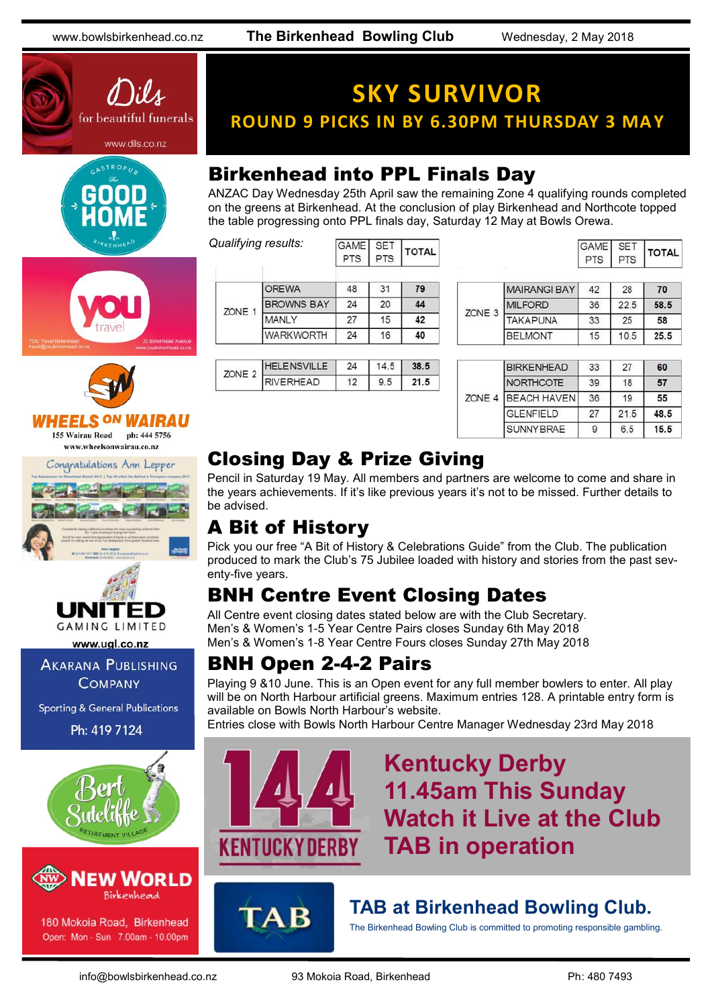www.bowlsbirkenhead.co.nz **The Birkenhead Bowling Club** Wednesday, 2 May 2018









#### 7331 155 Wairau Road ph: 444 5756

www.wheelsonwairau.co.nz

Congratulations Ann Lepper





www.ugl.co.nz

**AKARANA PUBLISHING COMPANY** 

**Sporting & General Publications** 

Ph: 419 7124





180 Mokoia Road, Birkenhead Open: Mon - Sun 7.00am - 10.00pm

## **SKY SURVIVOR ROUND 9 PICKS IN BY 6.30PM THURSDAY 3 MAY**

### Birkenhead into PPL Finals Day

GAME SET

ANZAC Day Wednesday 25th April saw the remaining Zone 4 qualifying rounds completed on the greens at Birkenhead. At the conclusion of play Birkenhead and Northcote topped the table progressing onto PPL finals day, Saturday 12 May at Bowls Orewa.

*Qualifying results:*

|        | ≀ualirying resuits: | <b>GAME</b><br><b>PTS</b> | <b>SET</b><br><b>PTS</b> | <b>TOTAL</b> |
|--------|---------------------|---------------------------|--------------------------|--------------|
| ZONE 1 | <b>OREWA</b>        | 48                        | 31                       | 79           |
|        | <b>BROWNS BAY</b>   | 24                        | 20                       | 44           |
|        | MANLY               | 27                        | 15                       | 42           |
|        | <b>WARKWORTH</b>    | 24                        | 16                       | 40           |

| $\sim$ |        | 24 | . . | 38.5 |
|--------|--------|----|-----|------|
|        | ERHEAD |    | 5   | 71.5 |

|              | GAME SET<br>PTS PTS |    | <b>TOTAL</b> |  |
|--------------|---------------------|----|--------------|--|
| MAIRANGI BAY | 42                  | 28 | 70           |  |

| ZONE <sub>3</sub> | <b>MAIRANGI BAY</b> | 42 | 28   | 70   |
|-------------------|---------------------|----|------|------|
|                   | <b>MILFORD</b>      | 36 | 22.5 | 58.5 |
|                   | <b>TAKAPUNA</b>     | 33 | 25   | 58   |
|                   | <b>BELMONT</b>      | 15 | 10.5 | 25.5 |

|        | <b>BIRKENHEAD</b>  | 33 | 27   | 60   |
|--------|--------------------|----|------|------|
|        | <b>NORTHCOTE</b>   | 39 | 18   | 57   |
| ZONE 4 | <b>BEACH HAVEN</b> | 36 | 19   | 55   |
|        | <b>GLENFIELD</b>   | 27 | 21.5 | 48.5 |
|        | <b>SUNNYBRAE</b>   | g  | 6.5  | 15.5 |

### Closing Day & Prize Giving

Pencil in Saturday 19 May. All members and partners are welcome to come and share in the years achievements. If it's like previous years it's not to be missed. Further details to be advised.

### A Bit of History

Pick you our free "A Bit of History & Celebrations Guide" from the Club. The publication produced to mark the Club's 75 Jubilee loaded with history and stories from the past seventy-five years.

### BNH Centre Event Closing Dates

All Centre event closing dates stated below are with the Club Secretary. Men's & Women's 1-5 Year Centre Pairs closes Sunday 6th May 2018 Men's & Women's 1-8 Year Centre Fours closes Sunday 27th May 2018

### BNH Open 2-4-2 Pairs

Playing 9 &10 June. This is an Open event for any full member bowlers to enter. All play will be on North Harbour artificial greens. Maximum entries 128. A printable entry form is available on Bowls North Harbour's website.

Entries close with Bowls North Harbour Centre Manager Wednesday 23rd May 2018



### **Kentucky Derby 11.45am This Sunday Watch it Live at the Club TAB in operation**



### **TAB at Birkenhead Bowling Club.**

The Birkenhead Bowling Club is committed to promoting responsible gambling.